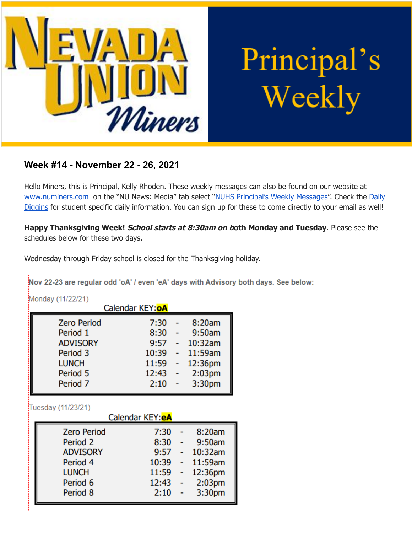

# Principal's Weekly

# **Week #14 - November 22 - 26, 2021**

Hello Miners, this is Principal, Kelly Rhoden. These weekly messages can also be found on our website at [www.numiners.com](http://www.numiners.com) on the "NU News: Media" tab select "NUHS [Principal's](https://nevadaunion.njuhsd.com/NU-NewsMedia/NUHS-Principals-Weekly-Messages/index.html) Weekly Messages". Check the [Daily](https://nevadaunion.njuhsd.com/NU-NewsMedia/Daily-Diggins-Bulletin/index.html) [Diggins](https://nevadaunion.njuhsd.com/NU-NewsMedia/Daily-Diggins-Bulletin/index.html) for student specific daily information. You can sign up for these to come directly to your email as well!

**Happy Thanksgiving Week! School starts at 8:30am on both Monday and Tuesday**. Please see the schedules below for these two days.

Wednesday through Friday school is closed for the Thanksgiving holiday.

Nov 22-23 are regular odd 'oA' / even 'eA' days with Advisory both days. See below:

| Monday (11/22/21)<br>Calendar KEY: OA |       |   |                    |  |
|---------------------------------------|-------|---|--------------------|--|
| <b>Zero Period</b>                    | 7:30  | ٠ | 8:20am             |  |
| Period 1                              | 8:30  |   | 9:50am             |  |
| <b>ADVISORY</b>                       | 9:57  |   | 10:32am            |  |
| Period 3                              | 10:39 |   | 11:59am            |  |
| <b>LUNCH</b>                          | 11:59 |   | 12:36pm            |  |
| Period 5                              | 12:43 |   | 2:03 <sub>pm</sub> |  |
| Period <sub>7</sub>                   | 2:10  |   | 3:30pm             |  |

Tuesday (11/23/21)

| Calendar KEY: <b>eA</b> |       |  |                    |  |
|-------------------------|-------|--|--------------------|--|
| <b>Zero Period</b>      | 7:30  |  | 8:20am             |  |
| Period 2                | 8:30  |  | 9:50am             |  |
| <b>ADVISORY</b>         | 9:57  |  | 10:32am            |  |
| Period 4                | 10:39 |  | 11:59am            |  |
| <b>LUNCH</b>            | 11:59 |  | 12:36pm            |  |
| Period 6                | 12:43 |  | 2:03 <sub>pm</sub> |  |
| Period 8                | 2:10  |  | 3:30pm             |  |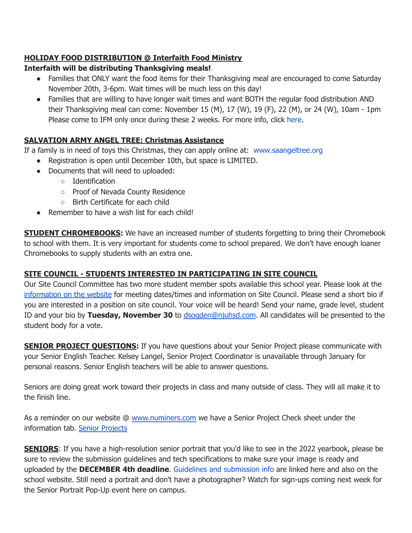# **HOLIDAY FOOD DISTRIBUTION @ Interfaith Food Ministry**

## **Interfaith will be distributing Thanksgiving meals!**

- Families that ONLY want the food items for their Thanksgiving meal are encouraged to come Saturday November 20th, 3-6pm. Wait times will be much less on this day!
- Families that are willing to have longer wait times and want BOTH the regular food distribution AND their Thanksgiving meal can come: November 15 (M), 17 (W), 19 (F), 22 (M), or 24 (W), 10am - 1pm Please come to IFM only once during these 2 weeks. For more info, click [here](https://www.interfaithfoodministry.org/).

# **SALVATION ARMY ANGEL TREE: Christmas Assistance**

If a family is in need of toys this Christmas, they can apply online at: [www.saangeltree.org](http://www.saangeltree.org/)

- Registration is open until December 10th, but space is LIMITED.
- Documents that will need to uploaded:
	- Identification
	- Proof of Nevada County Residence
	- Birth Certificate for each child
- $\bullet$  Remember to have a wish list for each child!

**STUDENT CHROMEBOOKS:** We have an increased number of students forgetting to bring their Chromebook to school with them. It is very important for students come to school prepared. We don't have enough loaner Chromebooks to supply students with an extra one.

# **SITE COUNCIL - STUDENTS INTERESTED IN PARTICIPATING IN SITE COUNCIL**

Our Site Council Committee has two more student member spots available this school year. Please look at the [information](https://nevadaunion.njuhsd.com/Information/Site-Council/index.html) on the website for meeting dates/times and information on Site Council. Please send a short bio if you are interested in a position on site council. Your voice will be heard! Send your name, grade level, student ID and your bio by **Tuesday, November 30** to [dsogden@njuhsd.com](mailto:dsogden@njuhsd.com). All candidates will be presented to the student body for a vote.

**SENIOR PROJECT QUESTIONS:** If you have questions about your Senior Project please communicate with your Senior English Teacher. Kelsey Langel, Senior Project Coordinator is unavailable through January for personal reasons. Senior English teachers will be able to answer questions.

Seniors are doing great work toward their projects in class and many outside of class. They will all make it to the finish line.

As a reminder on our website @ [www.numiners.com](http://www.numiners.com) we have a Senior Project Check sheet under the information tab. Senior [Projects](https://nevadaunion.njuhsd.com/Information/Senior-Project/index.html)

**SENIORS**: If you have a high-resolution senior portrait that you'd like to see in the 2022 yearbook, please be sure to review the submission guidelines and tech specifications to make sure your image is ready and uploaded by the **DECEMBER 4th deadline**. Guidelines and [submission](https://docs.google.com/document/d/17P5-TFO-4mXcn5eLybYp5-8dyIk7HFjskyrAV2eLBbc/edit) info are linked here and also on the school website. Still need a portrait and don't have a photographer? Watch for sign-ups coming next week for the Senior Portrait Pop-Up event here on campus.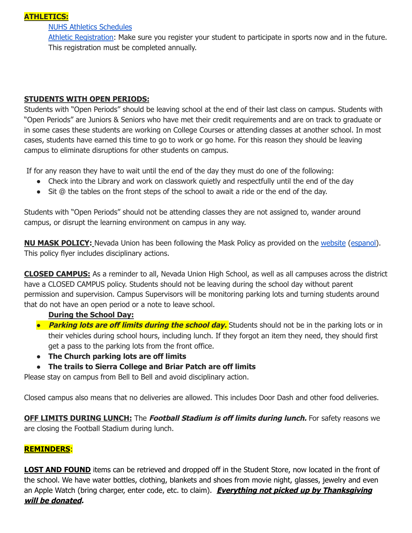## **ATHLETICS:**

#### NUHS Athletics [Schedules](https://nevadaunion.njuhsd.com/Athletics/Sports-Calendar--Schedules/index.html)

Athletic [Registration:](https://nevadaunion.njuhsd.com/Athletics/How-to-Register-For-a-Sport/index.html) Make sure you register your student to participate in sports now and in the future. This registration must be completed annually.

#### **STUDENTS WITH OPEN PERIODS:**

Students with "Open Periods" should be leaving school at the end of their last class on campus. Students with "Open Periods" are Juniors & Seniors who have met their credit requirements and are on track to graduate or in some cases these students are working on College Courses or attending classes at another school. In most cases, students have earned this time to go to work or go home. For this reason they should be leaving campus to eliminate disruptions for other students on campus.

If for any reason they have to wait until the end of the day they must do one of the following:

- Check into the Library and work on classwork quietly and respectfully until the end of the day
- Sit @ the tables on the front steps of the school to await a ride or the end of the day.

Students with "Open Periods" should not be attending classes they are not assigned to, wander around campus, or disrupt the learning environment on campus in any way.

**NU MASK POLICY:** Nevada Union has been following the Mask Policy as provided on the [website](https://nevadaunion.njuhsd.com/documents/Nevada%20Union%20HS/Information/Annual%20Forms/21.22.NUHS.MASK.RULES.pdf) ([espanol\)](https://nevadaunion.njuhsd.com/documents/Nevada%20Union%20HS/Information/Annual%20Forms/Spanish-21.22.NUHS.MASK.RULES.pdf). This policy flyer includes disciplinary actions.

**CLOSED CAMPUS:** As a reminder to all, Nevada Union High School, as well as all campuses across the district have a CLOSED CAMPUS policy. Students should not be leaving during the school day without parent permission and supervision. Campus Supervisors will be monitoring parking lots and turning students around that do not have an open period or a note to leave school.

#### **During the School Day:**

- *●* **Parking lots are off limits during the school day.** Students should not be in the parking lots or in their vehicles during school hours, including lunch. If they forgot an item they need, they should first get a pass to the parking lots from the front office.
- **● The Church parking lots are off limits**
- **● The trails to Sierra College and Briar Patch are off limits**

Please stay on campus from Bell to Bell and avoid disciplinary action.

Closed campus also means that no deliveries are allowed. This includes Door Dash and other food deliveries.

**OFF LIMITS DURING LUNCH:** The **Football Stadium is off limits during lunch.** For safety reasons we are closing the Football Stadium during lunch.

#### **REMINDERS**:

**LOST AND FOUND** items can be retrieved and dropped off in the Student Store, now located in the front of the school. We have water bottles, clothing, blankets and shoes from movie night, glasses, jewelry and even an Apple Watch (bring charger, enter code, etc. to claim). **Everything not picked up by Thanksgiving will be donated.**